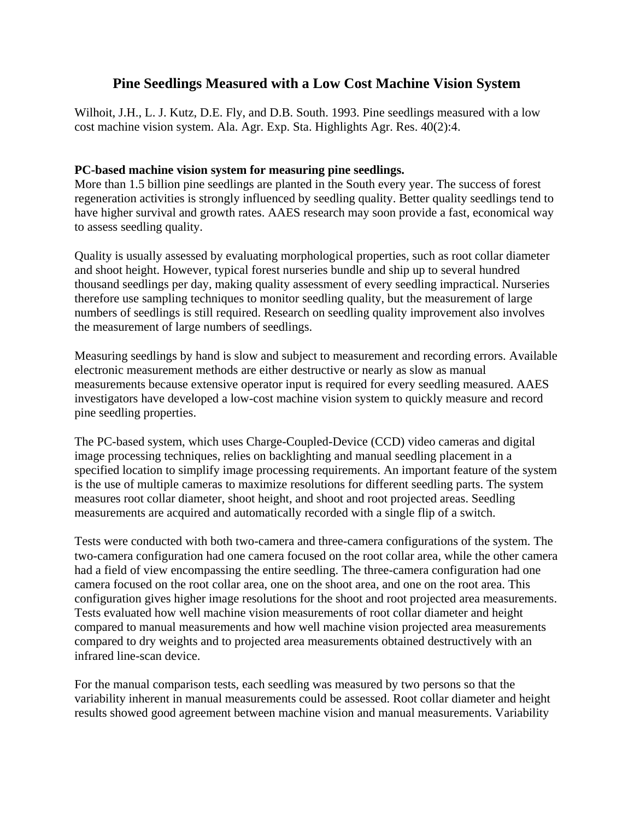## **Pine Seedlings Measured with a Low Cost Machine Vision System**

Wilhoit, J.H., L. J. Kutz, D.E. Fly, and D.B. South. 1993. Pine seedlings measured with a low cost machine vision system. Ala. Agr. Exp. Sta. Highlights Agr. Res. 40(2):4.

## **PC-based machine vision system for measuring pine seedlings.**

More than 1.5 billion pine seedlings are planted in the South every year. The success of forest regeneration activities is strongly influenced by seedling quality. Better quality seedlings tend to have higher survival and growth rates. AAES research may soon provide a fast, economical way to assess seedling quality.

Quality is usually assessed by evaluating morphological properties, such as root collar diameter and shoot height. However, typical forest nurseries bundle and ship up to several hundred thousand seedlings per day, making quality assessment of every seedling impractical. Nurseries therefore use sampling techniques to monitor seedling quality, but the measurement of large numbers of seedlings is still required. Research on seedling quality improvement also involves the measurement of large numbers of seedlings.

Measuring seedlings by hand is slow and subject to measurement and recording errors. Available electronic measurement methods are either destructive or nearly as slow as manual measurements because extensive operator input is required for every seedling measured. AAES investigators have developed a low-cost machine vision system to quickly measure and record pine seedling properties.

The PC-based system, which uses Charge-Coupled-Device (CCD) video cameras and digital image processing techniques, relies on backlighting and manual seedling placement in a specified location to simplify image processing requirements. An important feature of the system is the use of multiple cameras to maximize resolutions for different seedling parts. The system measures root collar diameter, shoot height, and shoot and root projected areas. Seedling measurements are acquired and automatically recorded with a single flip of a switch.

Tests were conducted with both two-camera and three-camera configurations of the system. The two-camera configuration had one camera focused on the root collar area, while the other camera had a field of view encompassing the entire seedling. The three-camera configuration had one camera focused on the root collar area, one on the shoot area, and one on the root area. This configuration gives higher image resolutions for the shoot and root projected area measurements. Tests evaluated how well machine vision measurements of root collar diameter and height compared to manual measurements and how well machine vision projected area measurements compared to dry weights and to projected area measurements obtained destructively with an infrared line-scan device.

For the manual comparison tests, each seedling was measured by two persons so that the variability inherent in manual measurements could be assessed. Root collar diameter and height results showed good agreement between machine vision and manual measurements. Variability